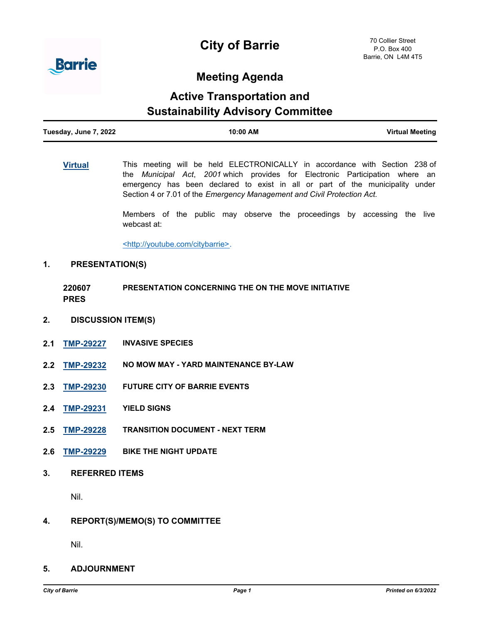# **City of Barrie**



### **Meeting Agenda**

## **Active Transportation and Sustainability Advisory Committee**

| Tuesday, June 7, 2022 | 10:00 AM | <b>Virtual Meeting</b> |
|-----------------------|----------|------------------------|
|                       |          |                        |

**[Virtual](http://barrie.ca.legistar.com/gateway.aspx?m=l&id=/matter.aspx?key=49526)** This meeting will be held ELECTRONICALLY in accordance with Section 238 of the *Municipal Act*, *2001* which provides for Electronic Participation where an emergency has been declared to exist in all or part of the municipality under Section 4 or 7.01 of the *Emergency Management and Civil Protection Act.*

> Members of the public may observe the proceedings by accessing the live webcast at:

<http://youtube.com/citybarrie>.

#### **1. PRESENTATION(S)**

**220607 PRES PRESENTATION CONCERNING THE ON THE MOVE INITIATIVE**

- **2. DISCUSSION ITEM(S)**
- **2.1 [TMP-29227](http://barrie.ca.legistar.com/gateway.aspx?m=l&id=/matter.aspx?key=50780) INVASIVE SPECIES**
- **2.2 [TMP-29232](http://barrie.ca.legistar.com/gateway.aspx?m=l&id=/matter.aspx?key=50785) NO MOW MAY YARD MAINTENANCE BY-LAW**
- **2.3 [TMP-29230](http://barrie.ca.legistar.com/gateway.aspx?m=l&id=/matter.aspx?key=50783) FUTURE CITY OF BARRIE EVENTS**
- **2.4 [TMP-29231](http://barrie.ca.legistar.com/gateway.aspx?m=l&id=/matter.aspx?key=50784) YIELD SIGNS**
- **2.5 [TMP-29228](http://barrie.ca.legistar.com/gateway.aspx?m=l&id=/matter.aspx?key=50781) TRANSITION DOCUMENT NEXT TERM**
- **2.6 [TMP-29229](http://barrie.ca.legistar.com/gateway.aspx?m=l&id=/matter.aspx?key=50782) BIKE THE NIGHT UPDATE**
- **3. REFERRED ITEMS**

Nil.

**4. REPORT(S)/MEMO(S) TO COMMITTEE**

Nil.

**5. ADJOURNMENT**